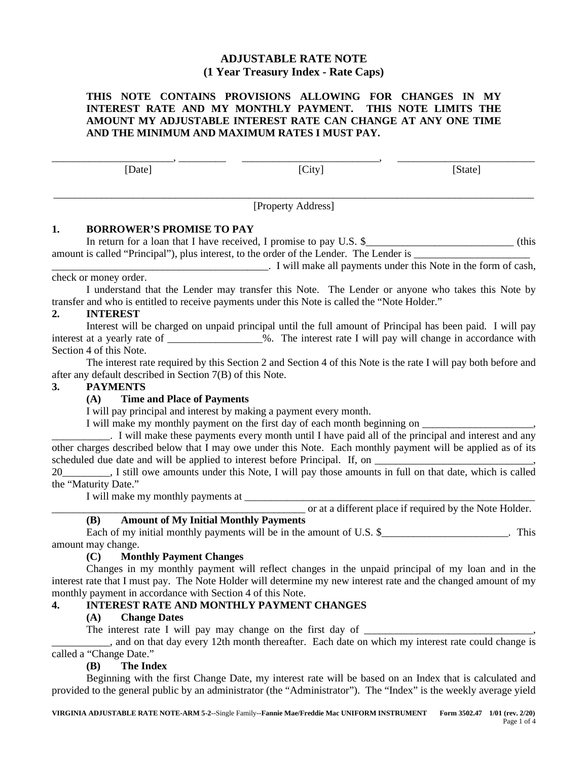# **ADJUSTABLE RATE NOTE (1 Year Treasury Index - Rate Caps)**

## **THIS NOTE CONTAINS PROVISIONS ALLOWING FOR CHANGES IN MY INTEREST RATE AND MY MONTHLY PAYMENT. THIS NOTE LIMITS THE AMOUNT MY ADJUSTABLE INTEREST RATE CAN CHANGE AT ANY ONE TIME AND THE MINIMUM AND MAXIMUM RATES I MUST PAY.**

\_\_\_\_\_\_\_\_\_\_\_\_\_\_\_\_\_\_\_\_\_\_\_, \_\_\_\_\_\_\_\_\_ \_\_\_\_\_\_\_\_\_\_\_\_\_\_\_\_\_\_\_\_\_\_\_\_\_\_, \_\_\_\_\_\_\_\_\_\_\_\_\_\_\_\_\_\_\_\_\_\_\_\_\_\_

[Date] [City] [State]

\_\_\_\_\_\_\_\_\_\_\_\_\_\_\_\_\_\_\_\_\_\_\_\_\_\_\_\_\_\_\_\_\_\_\_\_\_\_\_\_\_\_\_\_\_\_\_\_\_\_\_\_\_\_\_\_\_\_\_\_\_\_\_\_\_\_\_\_\_\_\_\_\_\_\_\_\_\_\_\_\_\_\_\_\_\_\_\_\_\_\_ [Property Address]

## **1. BORROWER'S PROMISE TO PAY**

In return for a loan that I have received, I promise to pay U.S. \$\_\_\_\_\_\_\_\_\_\_\_\_\_\_\_\_\_\_\_\_\_\_\_\_\_\_\_\_\_\_\_\_\_ (this amount is called "Principal"), plus interest, to the order of the Lender. The Lender is

\_\_\_\_\_\_\_\_\_\_\_\_\_\_\_\_\_\_\_\_\_\_\_\_\_\_\_\_\_\_\_\_\_\_\_\_\_\_\_\_\_. I will make all payments under this Note in the form of cash, check or money order.

I understand that the Lender may transfer this Note. The Lender or anyone who takes this Note by transfer and who is entitled to receive payments under this Note is called the "Note Holder."

## **2. INTEREST**

Interest will be charged on unpaid principal until the full amount of Principal has been paid. I will pay interest at a yearly rate of \_\_\_\_\_\_\_\_\_\_\_\_\_\_\_%. The interest rate I will pay will change in accordance with Section 4 of this Note.

The interest rate required by this Section 2 and Section 4 of this Note is the rate I will pay both before and after any default described in Section 7(B) of this Note.

### **3. PAYMENTS**

## **(A) Time and Place of Payments**

I will pay principal and interest by making a payment every month.

I will make my monthly payment on the first day of each month beginning on

\_\_\_\_\_\_\_\_\_\_\_. I will make these payments every month until I have paid all of the principal and interest and any other charges described below that I may owe under this Note. Each monthly payment will be applied as of its scheduled due date and will be applied to interest before Principal. If, on

20 The still owe amounts under this Note, I will pay those amounts in full on that date, which is called the "Maturity Date."

I will make my monthly payments at \_\_\_\_\_\_\_\_\_\_\_\_\_\_\_\_\_\_\_\_\_\_\_\_\_\_\_\_\_\_\_\_\_\_\_\_\_\_\_\_\_\_\_\_\_\_\_\_\_\_\_\_\_\_\_

\_\_\_\_\_\_\_\_\_\_\_\_\_\_\_\_\_\_\_\_\_\_\_\_\_\_\_\_\_\_\_\_\_\_\_\_\_\_\_\_\_\_\_\_\_\_\_\_ or at a different place if required by the Note Holder.

## **(B) Amount of My Initial Monthly Payments**

Each of my initial monthly payments will be in the amount of U.S. \$\_\_\_\_\_\_\_\_\_\_\_\_\_\_\_\_\_\_\_\_\_. This amount may change.

# **(C) Monthly Payment Changes**

Changes in my monthly payment will reflect changes in the unpaid principal of my loan and in the interest rate that I must pay. The Note Holder will determine my new interest rate and the changed amount of my monthly payment in accordance with Section 4 of this Note.

## **4. INTEREST RATE AND MONTHLY PAYMENT CHANGES**

## **(A) Change Dates**

The interest rate I will pay may change on the first day of \_\_\_\_\_\_\_\_\_\_\_\_\_\_\_\_\_\_\_\_\_

\_\_\_\_\_\_\_\_\_\_\_, and on that day every 12th month thereafter. Each date on which my interest rate could change is called a "Change Date."

## **(B) The Index**

Beginning with the first Change Date, my interest rate will be based on an Index that is calculated and provided to the general public by an administrator (the "Administrator"). The "Index" is the weekly average yield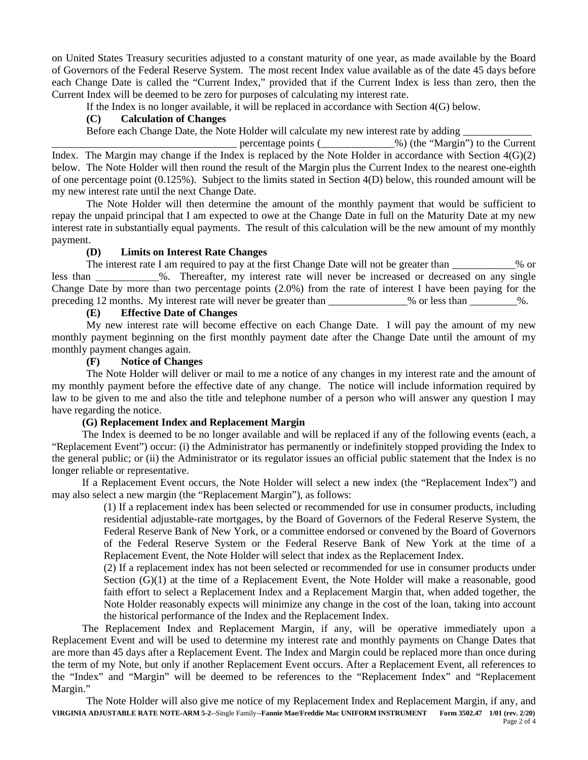on United States Treasury securities adjusted to a constant maturity of one year, as made available by the Board of Governors of the Federal Reserve System. The most recent Index value available as of the date 45 days before each Change Date is called the "Current Index," provided that if the Current Index is less than zero, then the Current Index will be deemed to be zero for purposes of calculating my interest rate.

If the Index is no longer available, it will be replaced in accordance with Section 4(G) below.

### **(C) Calculation of Changes**

Before each Change Date, the Note Holder will calculate my new interest rate by adding \_\_\_\_\_\_\_\_\_\_\_\_\_

percentage points  $($  \_\_\_\_\_\_\_\_\_\_\_\_%) (the "Margin") to the Current Index. The Margin may change if the Index is replaced by the Note Holder in accordance with Section 4(G)(2) below. The Note Holder will then round the result of the Margin plus the Current Index to the nearest one-eighth of one percentage point (0.125%). Subject to the limits stated in Section 4(D) below, this rounded amount will be my new interest rate until the next Change Date.

The Note Holder will then determine the amount of the monthly payment that would be sufficient to repay the unpaid principal that I am expected to owe at the Change Date in full on the Maturity Date at my new interest rate in substantially equal payments. The result of this calculation will be the new amount of my monthly payment.

#### **(D) Limits on Interest Rate Changes**

The interest rate I am required to pay at the first Change Date will not be greater than 19% or less than  $\%$ . Thereafter, my interest rate will never be increased or decreased on any single Change Date by more than two percentage points (2.0%) from the rate of interest I have been paying for the preceding 12 months. My interest rate will never be greater than  $\%$  or less than  $\%$ .

## **(E) Effective Date of Changes**

My new interest rate will become effective on each Change Date. I will pay the amount of my new monthly payment beginning on the first monthly payment date after the Change Date until the amount of my monthly payment changes again.

#### **(F) Notice of Changes**

The Note Holder will deliver or mail to me a notice of any changes in my interest rate and the amount of my monthly payment before the effective date of any change. The notice will include information required by law to be given to me and also the title and telephone number of a person who will answer any question I may have regarding the notice.

### **(G) Replacement Index and Replacement Margin**

The Index is deemed to be no longer available and will be replaced if any of the following events (each, a "Replacement Event") occur: (i) the Administrator has permanently or indefinitely stopped providing the Index to the general public; or (ii) the Administrator or its regulator issues an official public statement that the Index is no longer reliable or representative.

If a Replacement Event occurs, the Note Holder will select a new index (the "Replacement Index") and may also select a new margin (the "Replacement Margin"), as follows:

(1) If a replacement index has been selected or recommended for use in consumer products, including residential adjustable-rate mortgages, by the Board of Governors of the Federal Reserve System, the Federal Reserve Bank of New York, or a committee endorsed or convened by the Board of Governors of the Federal Reserve System or the Federal Reserve Bank of New York at the time of a Replacement Event, the Note Holder will select that index as the Replacement Index.

(2) If a replacement index has not been selected or recommended for use in consumer products under Section (G)(1) at the time of a Replacement Event, the Note Holder will make a reasonable, good faith effort to select a Replacement Index and a Replacement Margin that, when added together, the Note Holder reasonably expects will minimize any change in the cost of the loan, taking into account the historical performance of the Index and the Replacement Index.

The Replacement Index and Replacement Margin, if any, will be operative immediately upon a Replacement Event and will be used to determine my interest rate and monthly payments on Change Dates that are more than 45 days after a Replacement Event. The Index and Margin could be replaced more than once during the term of my Note, but only if another Replacement Event occurs. After a Replacement Event, all references to the "Index" and "Margin" will be deemed to be references to the "Replacement Index" and "Replacement Margin."

**VIRGINIA ADJUSTABLE RATE NOTE-ARM 5-2**--Single Family--**Fannie Mae/Freddie Mac UNIFORM INSTRUMENT Form 3502.47 1/01 (rev. 2/20)** The Note Holder will also give me notice of my Replacement Index and Replacement Margin, if any, and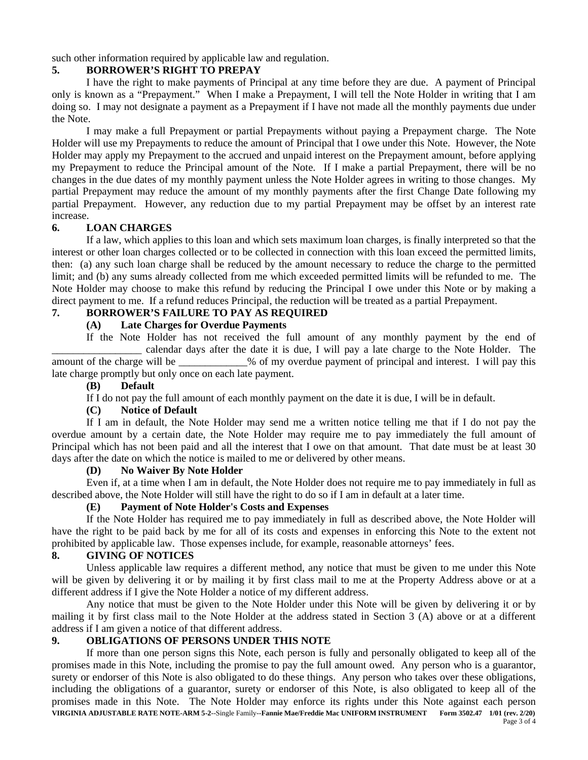such other information required by applicable law and regulation.

# **5. BORROWER'S RIGHT TO PREPAY**

I have the right to make payments of Principal at any time before they are due. A payment of Principal only is known as a "Prepayment." When I make a Prepayment, I will tell the Note Holder in writing that I am doing so. I may not designate a payment as a Prepayment if I have not made all the monthly payments due under the Note.

I may make a full Prepayment or partial Prepayments without paying a Prepayment charge. The Note Holder will use my Prepayments to reduce the amount of Principal that I owe under this Note. However, the Note Holder may apply my Prepayment to the accrued and unpaid interest on the Prepayment amount, before applying my Prepayment to reduce the Principal amount of the Note. If I make a partial Prepayment, there will be no changes in the due dates of my monthly payment unless the Note Holder agrees in writing to those changes. My partial Prepayment may reduce the amount of my monthly payments after the first Change Date following my partial Prepayment. However, any reduction due to my partial Prepayment may be offset by an interest rate increase.

# **6. LOAN CHARGES**

If a law, which applies to this loan and which sets maximum loan charges, is finally interpreted so that the interest or other loan charges collected or to be collected in connection with this loan exceed the permitted limits, then: (a) any such loan charge shall be reduced by the amount necessary to reduce the charge to the permitted limit; and (b) any sums already collected from me which exceeded permitted limits will be refunded to me. The Note Holder may choose to make this refund by reducing the Principal I owe under this Note or by making a direct payment to me. If a refund reduces Principal, the reduction will be treated as a partial Prepayment.

# **7. BORROWER'S FAILURE TO PAY AS REQUIRED**

# **(A) Late Charges for Overdue Payments**

If the Note Holder has not received the full amount of any monthly payment by the end of \_\_\_\_\_\_\_\_\_\_\_\_\_\_\_\_\_ calendar days after the date it is due, I will pay a late charge to the Note Holder. The amount of the charge will be  $\%$  of my overdue payment of principal and interest. I will pay this late charge promptly but only once on each late payment.

#### **(B) Default**

If I do not pay the full amount of each monthly payment on the date it is due, I will be in default.

### **(C) Notice of Default**

If I am in default, the Note Holder may send me a written notice telling me that if I do not pay the overdue amount by a certain date, the Note Holder may require me to pay immediately the full amount of Principal which has not been paid and all the interest that I owe on that amount. That date must be at least 30 days after the date on which the notice is mailed to me or delivered by other means.

### **(D) No Waiver By Note Holder**

Even if, at a time when I am in default, the Note Holder does not require me to pay immediately in full as described above, the Note Holder will still have the right to do so if I am in default at a later time.

## **(E) Payment of Note Holder's Costs and Expenses**

If the Note Holder has required me to pay immediately in full as described above, the Note Holder will have the right to be paid back by me for all of its costs and expenses in enforcing this Note to the extent not prohibited by applicable law. Those expenses include, for example, reasonable attorneys' fees.

# **8. GIVING OF NOTICES**

Unless applicable law requires a different method, any notice that must be given to me under this Note will be given by delivering it or by mailing it by first class mail to me at the Property Address above or at a different address if I give the Note Holder a notice of my different address.

Any notice that must be given to the Note Holder under this Note will be given by delivering it or by mailing it by first class mail to the Note Holder at the address stated in Section 3 (A) above or at a different address if I am given a notice of that different address.

### **9. OBLIGATIONS OF PERSONS UNDER THIS NOTE**

**VIRGINIA ADJUSTABLE RATE NOTE-ARM 5-2**--Single Family--**Fannie Mae/Freddie Mac UNIFORM INSTRUMENT Form 3502.47 1/01 (rev. 2/20)** If more than one person signs this Note, each person is fully and personally obligated to keep all of the promises made in this Note, including the promise to pay the full amount owed. Any person who is a guarantor, surety or endorser of this Note is also obligated to do these things. Any person who takes over these obligations, including the obligations of a guarantor, surety or endorser of this Note, is also obligated to keep all of the promises made in this Note. The Note Holder may enforce its rights under this Note against each person